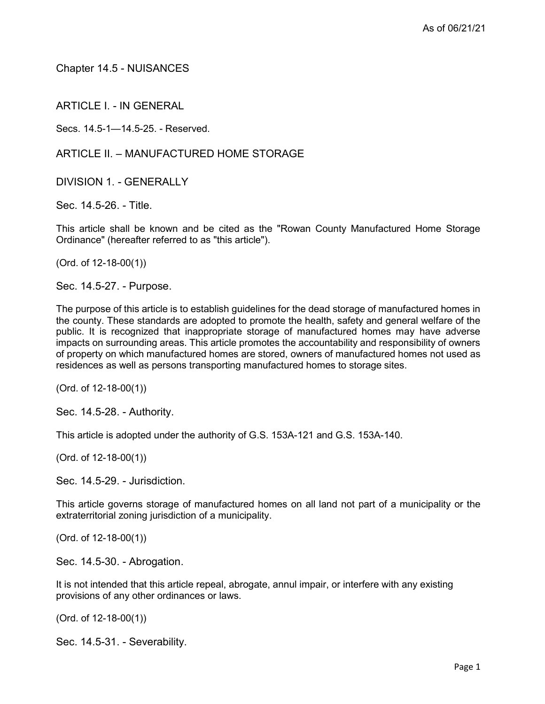Chapter 14.5 - NUISANCES

ARTICLE I. - IN GENERAL

Secs. 14.5-1—14.5-25. - Reserved.

ARTICLE II. – MANUFACTURED HOME STORAGE

DIVISION 1 - GENERALLY

Sec. 14.5-26. - Title.

This article shall be known and be cited as the "Rowan County Manufactured Home Storage Ordinance" (hereafter referred to as "this article").

(Ord. of 12-18-00(1))

Sec. 14.5-27. - Purpose.

The purpose of this article is to establish guidelines for the dead storage of manufactured homes in the county. These standards are adopted to promote the health, safety and general welfare of the public. It is recognized that inappropriate storage of manufactured homes may have adverse impacts on surrounding areas. This article promotes the accountability and responsibility of owners of property on which manufactured homes are stored, owners of manufactured homes not used as residences as well as persons transporting manufactured homes to storage sites.

(Ord. of 12-18-00(1))

Sec. 14.5-28. - Authority.

This article is adopted under the authority of G.S. 153A-121 and G.S. 153A-140.

(Ord. of 12-18-00(1))

Sec. 14.5-29. - Jurisdiction.

This article governs storage of manufactured homes on all land not part of a municipality or the extraterritorial zoning jurisdiction of a municipality.

(Ord. of 12-18-00(1))

Sec. 14.5-30. - Abrogation.

It is not intended that this article repeal, abrogate, annul impair, or interfere with any existing provisions of any other ordinances or laws.

(Ord. of 12-18-00(1))

Sec. 14.5-31. - Severability.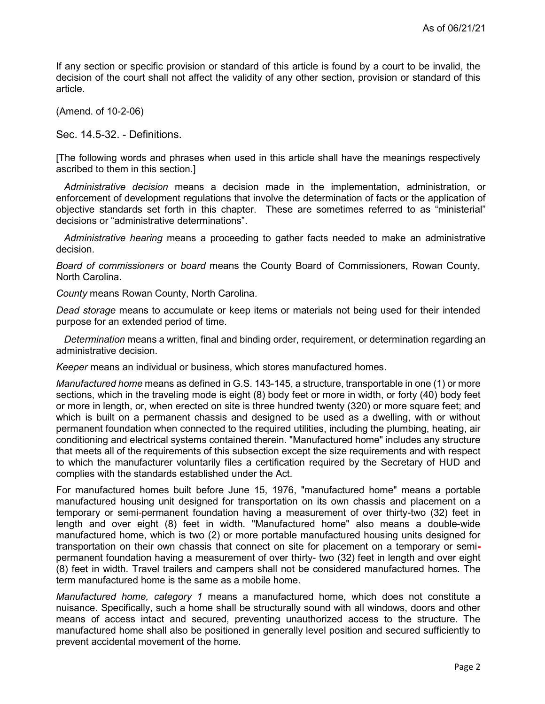If any section or specific provision or standard of this article is found by a court to be invalid, the decision of the court shall not affect the validity of any other section, provision or standard of this article.

(Amend. of 10-2-06)

Sec. 14.5-32. - Definitions.

[The following words and phrases when used in this article shall have the meanings respectively ascribed to them in this section.]

Administrative decision means a decision made in the implementation, administration, or enforcement of development regulations that involve the determination of facts or the application of objective standards set forth in this chapter. These are sometimes referred to as "ministerial" decisions or "administrative determinations".

Administrative hearing means a proceeding to gather facts needed to make an administrative decision.

Board of commissioners or board means the County Board of Commissioners, Rowan County, North Carolina.

County means Rowan County, North Carolina.

Dead storage means to accumulate or keep items or materials not being used for their intended purpose for an extended period of time.

Determination means a written, final and binding order, requirement, or determination regarding an administrative decision.

Keeper means an individual or business, which stores manufactured homes.

Manufactured home means as defined in G.S. 143-145, a structure, transportable in one (1) or more sections, which in the traveling mode is eight (8) body feet or more in width, or forty (40) body feet or more in length, or, when erected on site is three hundred twenty (320) or more square feet; and which is built on a permanent chassis and designed to be used as a dwelling, with or without permanent foundation when connected to the required utilities, including the plumbing, heating, air conditioning and electrical systems contained therein. "Manufactured home" includes any structure that meets all of the requirements of this subsection except the size requirements and with respect to which the manufacturer voluntarily files a certification required by the Secretary of HUD and complies with the standards established under the Act.

For manufactured homes built before June 15, 1976, "manufactured home" means a portable manufactured housing unit designed for transportation on its own chassis and placement on a temporary or semi-permanent foundation having a measurement of over thirty-two (32) feet in length and over eight (8) feet in width. "Manufactured home" also means a double-wide manufactured home, which is two (2) or more portable manufactured housing units designed for transportation on their own chassis that connect on site for placement on a temporary or semipermanent foundation having a measurement of over thirty- two (32) feet in length and over eight (8) feet in width. Travel trailers and campers shall not be considered manufactured homes. The term manufactured home is the same as a mobile home.

Manufactured home, category 1 means a manufactured home, which does not constitute a nuisance. Specifically, such a home shall be structurally sound with all windows, doors and other means of access intact and secured, preventing unauthorized access to the structure. The manufactured home shall also be positioned in generally level position and secured sufficiently to prevent accidental movement of the home.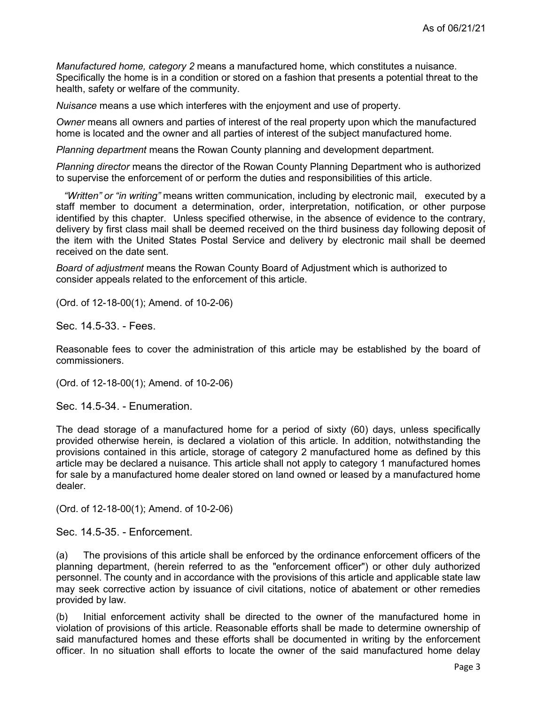Manufactured home, category 2 means a manufactured home, which constitutes a nuisance. Specifically the home is in a condition or stored on a fashion that presents a potential threat to the health, safety or welfare of the community.

Nuisance means a use which interferes with the enjoyment and use of property.

Owner means all owners and parties of interest of the real property upon which the manufactured home is located and the owner and all parties of interest of the subject manufactured home.

Planning department means the Rowan County planning and development department.

Planning director means the director of the Rowan County Planning Department who is authorized to supervise the enforcement of or perform the duties and responsibilities of this article.

"Written" or "in writing" means written communication, including by electronic mail, executed by a staff member to document a determination, order, interpretation, notification, or other purpose identified by this chapter. Unless specified otherwise, in the absence of evidence to the contrary, delivery by first class mail shall be deemed received on the third business day following deposit of the item with the United States Postal Service and delivery by electronic mail shall be deemed received on the date sent.

Board of adjustment means the Rowan County Board of Adjustment which is authorized to consider appeals related to the enforcement of this article.

(Ord. of 12-18-00(1); Amend. of 10-2-06)

Sec. 14.5-33. - Fees.

Reasonable fees to cover the administration of this article may be established by the board of commissioners.

(Ord. of 12-18-00(1); Amend. of 10-2-06)

Sec. 14.5-34. - Enumeration.

The dead storage of a manufactured home for a period of sixty (60) days, unless specifically provided otherwise herein, is declared a violation of this article. In addition, notwithstanding the provisions contained in this article, storage of category 2 manufactured home as defined by this article may be declared a nuisance. This article shall not apply to category 1 manufactured homes for sale by a manufactured home dealer stored on land owned or leased by a manufactured home dealer.

(Ord. of 12-18-00(1); Amend. of 10-2-06)

Sec. 14.5-35. - Enforcement.

(a) The provisions of this article shall be enforced by the ordinance enforcement officers of the planning department, (herein referred to as the "enforcement officer") or other duly authorized personnel. The county and in accordance with the provisions of this article and applicable state law may seek corrective action by issuance of civil citations, notice of abatement or other remedies provided by law.

(b) Initial enforcement activity shall be directed to the owner of the manufactured home in violation of provisions of this article. Reasonable efforts shall be made to determine ownership of said manufactured homes and these efforts shall be documented in writing by the enforcement officer. In no situation shall efforts to locate the owner of the said manufactured home delay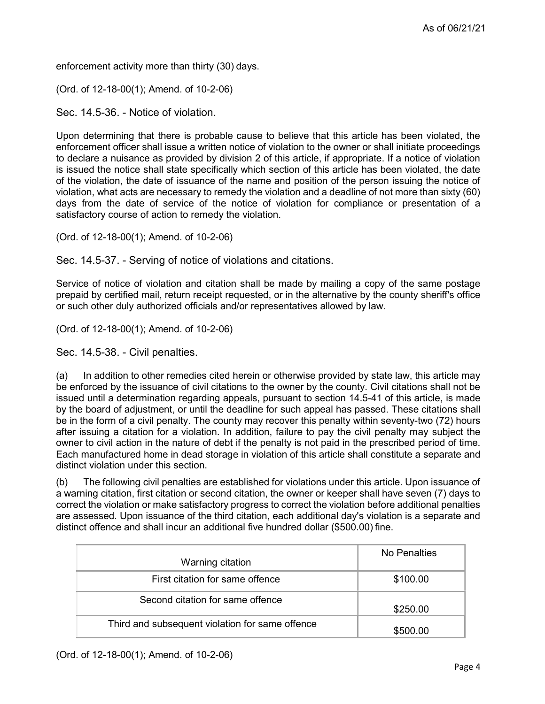enforcement activity more than thirty (30) days.

(Ord. of 12-18-00(1); Amend. of 10-2-06)

Sec. 14.5-36. - Notice of violation.

Upon determining that there is probable cause to believe that this article has been violated, the enforcement officer shall issue a written notice of violation to the owner or shall initiate proceedings to declare a nuisance as provided by division 2 of this article, if appropriate. If a notice of violation is issued the notice shall state specifically which section of this article has been violated, the date of the violation, the date of issuance of the name and position of the person issuing the notice of violation, what acts are necessary to remedy the violation and a deadline of not more than sixty (60) days from the date of service of the notice of violation for compliance or presentation of a satisfactory course of action to remedy the violation.

(Ord. of 12-18-00(1); Amend. of 10-2-06)

Sec. 14.5-37. - Serving of notice of violations and citations.

Service of notice of violation and citation shall be made by mailing a copy of the same postage prepaid by certified mail, return receipt requested, or in the alternative by the county sheriff's office or such other duly authorized officials and/or representatives allowed by law.

(Ord. of 12-18-00(1); Amend. of 10-2-06)

Sec. 14.5-38. - Civil penalties.

(a) In addition to other remedies cited herein or otherwise provided by state law, this article may be enforced by the issuance of civil citations to the owner by the county. Civil citations shall not be issued until a determination regarding appeals, pursuant to section 14.5-41 of this article, is made by the board of adjustment, or until the deadline for such appeal has passed. These citations shall be in the form of a civil penalty. The county may recover this penalty within seventy-two (72) hours after issuing a citation for a violation. In addition, failure to pay the civil penalty may subject the owner to civil action in the nature of debt if the penalty is not paid in the prescribed period of time. Each manufactured home in dead storage in violation of this article shall constitute a separate and distinct violation under this section.

(b) The following civil penalties are established for violations under this article. Upon issuance of a warning citation, first citation or second citation, the owner or keeper shall have seven (7) days to correct the violation or make satisfactory progress to correct the violation before additional penalties are assessed. Upon issuance of the third citation, each additional day's violation is a separate and distinct offence and shall incur an additional five hundred dollar (\$500.00) fine.

| Warning citation                                | No Penalties |
|-------------------------------------------------|--------------|
| First citation for same offence                 | \$100.00     |
| Second citation for same offence                | \$250.00     |
| Third and subsequent violation for same offence | \$500.00     |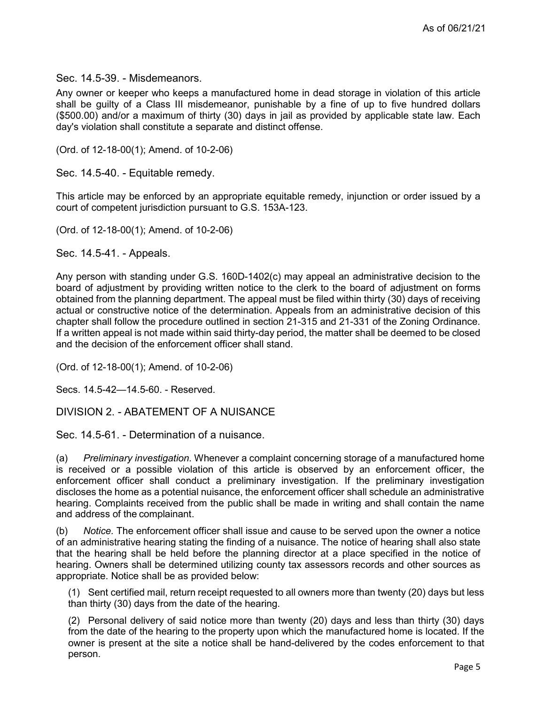Sec. 14.5-39. - Misdemeanors.

Any owner or keeper who keeps a manufactured home in dead storage in violation of this article shall be guilty of a Class III misdemeanor, punishable by a fine of up to five hundred dollars (\$500.00) and/or a maximum of thirty (30) days in jail as provided by applicable state law. Each day's violation shall constitute a separate and distinct offense.

(Ord. of 12-18-00(1); Amend. of 10-2-06)

Sec. 14.5-40. - Equitable remedy.

This article may be enforced by an appropriate equitable remedy, injunction or order issued by a court of competent jurisdiction pursuant to G.S. 153A-123.

(Ord. of 12-18-00(1); Amend. of 10-2-06)

Sec. 14.5-41. - Appeals.

Any person with standing under G.S. 160D-1402(c) may appeal an administrative decision to the board of adjustment by providing written notice to the clerk to the board of adjustment on forms obtained from the planning department. The appeal must be filed within thirty (30) days of receiving actual or constructive notice of the determination. Appeals from an administrative decision of this chapter shall follow the procedure outlined in section 21-315 and 21-331 of the Zoning Ordinance. If a written appeal is not made within said thirty-day period, the matter shall be deemed to be closed and the decision of the enforcement officer shall stand.

(Ord. of 12-18-00(1); Amend. of 10-2-06)

Secs. 14.5-42—14.5-60. - Reserved.

DIVISION 2. - ABATEMENT OF A NUISANCE

Sec. 14.5-61. - Determination of a nuisance.

(a) Preliminary investigation. Whenever a complaint concerning storage of a manufactured home is received or a possible violation of this article is observed by an enforcement officer, the enforcement officer shall conduct a preliminary investigation. If the preliminary investigation discloses the home as a potential nuisance, the enforcement officer shall schedule an administrative hearing. Complaints received from the public shall be made in writing and shall contain the name and address of the complainant.

(b) Notice. The enforcement officer shall issue and cause to be served upon the owner a notice of an administrative hearing stating the finding of a nuisance. The notice of hearing shall also state that the hearing shall be held before the planning director at a place specified in the notice of hearing. Owners shall be determined utilizing county tax assessors records and other sources as appropriate. Notice shall be as provided below:

(1) Sent certified mail, return receipt requested to all owners more than twenty (20) days but less than thirty (30) days from the date of the hearing.

(2) Personal delivery of said notice more than twenty (20) days and less than thirty (30) days from the date of the hearing to the property upon which the manufactured home is located. If the owner is present at the site a notice shall be hand-delivered by the codes enforcement to that person.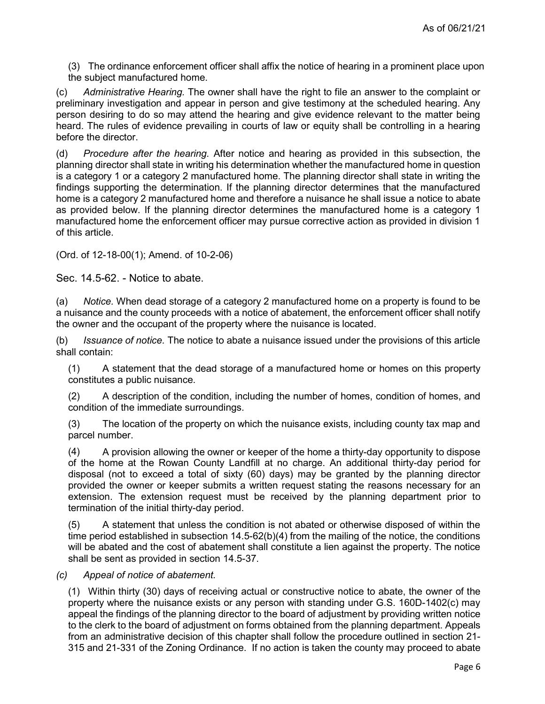(3) The ordinance enforcement officer shall affix the notice of hearing in a prominent place upon the subject manufactured home.

(c) Administrative Hearing. The owner shall have the right to file an answer to the complaint or preliminary investigation and appear in person and give testimony at the scheduled hearing. Any person desiring to do so may attend the hearing and give evidence relevant to the matter being heard. The rules of evidence prevailing in courts of law or equity shall be controlling in a hearing before the director.

(d) Procedure after the hearing. After notice and hearing as provided in this subsection, the planning director shall state in writing his determination whether the manufactured home in question is a category 1 or a category 2 manufactured home. The planning director shall state in writing the findings supporting the determination. If the planning director determines that the manufactured home is a category 2 manufactured home and therefore a nuisance he shall issue a notice to abate as provided below. If the planning director determines the manufactured home is a category 1 manufactured home the enforcement officer may pursue corrective action as provided in division 1 of this article.

(Ord. of 12-18-00(1); Amend. of 10-2-06)

Sec. 14.5-62. - Notice to abate.

(a) Notice. When dead storage of a category 2 manufactured home on a property is found to be a nuisance and the county proceeds with a notice of abatement, the enforcement officer shall notify the owner and the occupant of the property where the nuisance is located.

(b) Issuance of notice. The notice to abate a nuisance issued under the provisions of this article shall contain:

(1) A statement that the dead storage of a manufactured home or homes on this property constitutes a public nuisance.

(2) A description of the condition, including the number of homes, condition of homes, and condition of the immediate surroundings.

(3) The location of the property on which the nuisance exists, including county tax map and parcel number.

(4) A provision allowing the owner or keeper of the home a thirty-day opportunity to dispose of the home at the Rowan County Landfill at no charge. An additional thirty-day period for disposal (not to exceed a total of sixty (60) days) may be granted by the planning director provided the owner or keeper submits a written request stating the reasons necessary for an extension. The extension request must be received by the planning department prior to termination of the initial thirty-day period.

(5) A statement that unless the condition is not abated or otherwise disposed of within the time period established in subsection 14.5-62(b)(4) from the mailing of the notice, the conditions will be abated and the cost of abatement shall constitute a lien against the property. The notice shall be sent as provided in section 14.5-37.

(c) Appeal of notice of abatement.

(1) Within thirty (30) days of receiving actual or constructive notice to abate, the owner of the property where the nuisance exists or any person with standing under G.S. 160D-1402(c) may appeal the findings of the planning director to the board of adjustment by providing written notice to the clerk to the board of adjustment on forms obtained from the planning department. Appeals from an administrative decision of this chapter shall follow the procedure outlined in section 21- 315 and 21-331 of the Zoning Ordinance. If no action is taken the county may proceed to abate